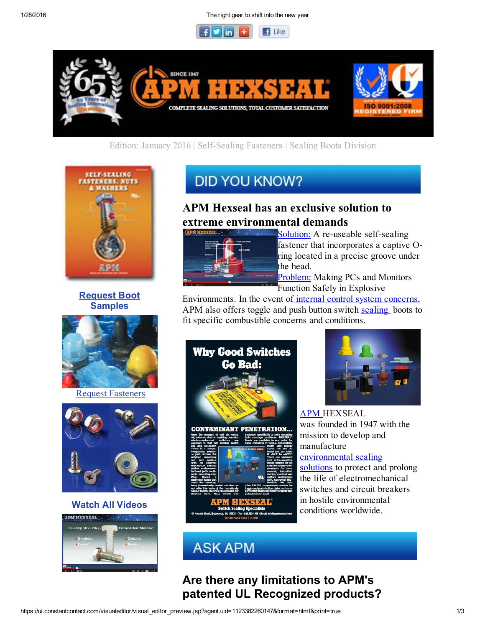1/28/2016 The right gear to shift into the new year





## Edition: January 2016 | Self-Sealing Fasteners | Sealing Boots Division



Request Boot **Samples** 



Request Fasteners



### Watch All Videos



# **DID YOU KNOW?**

## APM Hexseal has an exclusive solution to extreme environmental demands



Solution: A re-useable self-sealing fastener that incorporates a captive Oring located in a precise groove under the head.

**Problem:** Making PCs and Monitors Function Safely in Explosive

Environments. In the event of internal control system concerns, APM also offers toggle and push button switch sealing boots to fit specific combustible concerns and conditions.





**APM HEXSEAL** was founded in 1947 with the mission to develop and manufacture

#### environmental sealing

solutions to protect and prolong the life of electromechanical switches and circuit breakers in hostile environmental conditions worldwide.

# **ASK APM**

Are there any limitations to APM's patented UL Recognized products?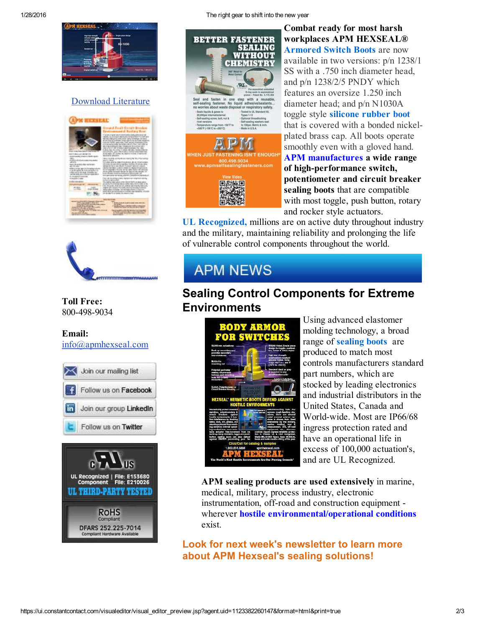

### Download Literature





Toll Free: 800-498-9034

Email: info@apmhexseal.com





1/28/2016 The right gear to shift into the new year



#### Combat ready for most harsh workplaces APM HEXSEAL® **Armored Switch Boots are now** available in two versions: p/n 1238/1 SS with a .750 inch diameter head, and p/n 1238/2/5 PNDY which features an oversize 1.250 inch diameter head; and p/n N1030A toggle style silicone rubber boot that is covered with a bonded nickelplated brass cap. All boots operate smoothly even with a gloved hand. APM manufactures a wide range

of high-performance switch, potentiometer and circuit breaker sealing boots that are compatible with most toggle, push button, rotary and rocker style actuators.

UL Recognized, millions are on active duty throughout industry and the military, maintaining reliability and prolonging the life of vulnerable control components throughout the world.

# **APM NEWS**

# Sealing Control Components for Extreme Environments



Using advanced elastomer molding technology, a broad range of sealing boots are produced to match most controls manufacturers standard part numbers, which are stocked by leading electronics and industrial distributors in the United States, Canada and World-wide. Most are IP66/68 ingress protection rated and have an operational life in excess of 100,000 actuation's, and are UL Recognized.

APM sealing products are used extensively in marine, medical, military, process industry, electronic instrumentation, off-road and construction equipment wherever hostile environmental/operational conditions exist.

Look for next week's newsletter to learn more about APM Hexseal's sealing solutions!